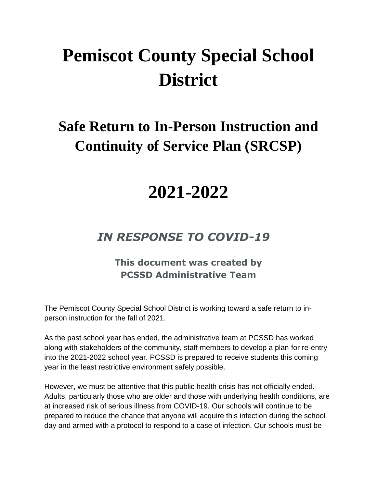# **Pemiscot County Special School District**

### **Safe Return to In-Person Instruction and Continuity of Service Plan (SRCSP)**

## **2021-2022**

### *IN RESPONSE TO COVID-19*

#### **This document was created by PCSSD Administrative Team**

The Pemiscot County Special School District is working toward a safe return to inperson instruction for the fall of 2021.

As the past school year has ended, the administrative team at PCSSD has worked along with stakeholders of the community, staff members to develop a plan for re-entry into the 2021-2022 school year. PCSSD is prepared to receive students this coming year in the least restrictive environment safely possible.

However, we must be attentive that this public health crisis has not officially ended. Adults, particularly those who are older and those with underlying health conditions, are at increased risk of serious illness from COVID-19. Our schools will continue to be prepared to reduce the chance that anyone will acquire this infection during the school day and armed with a protocol to respond to a case of infection. Our schools must be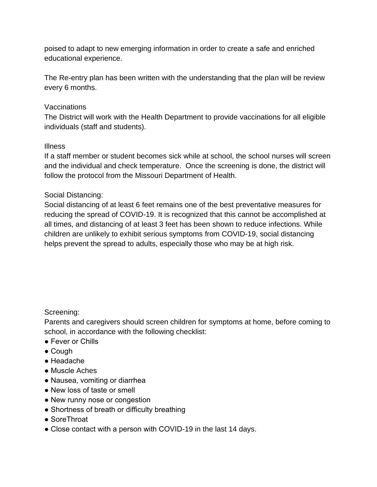poised to adapt to new emerging information in order to create a safe and enriched educational experience.

The Re-entry plan has been written with the understanding that the plan will be review every 6 months.

#### Vaccinations

The District will work with the Health Department to provide vaccinations for all eligible individuals (staff and students).

#### Illness

If a staff member or student becomes sick while at school, the school nurses will screen and the individual and check temperature. Once the screening is done, the district will follow the protocol from the Missouri Department of Health.

#### Social Distancing:

Social distancing of at least 6 feet remains one of the best preventative measures for reducing the spread of COVID-19. It is recognized that this cannot be accomplished at all times, and distancing of at least 3 feet has been shown to reduce infections. While children are unlikely to exhibit serious symptoms from COVID-19, social distancing helps prevent the spread to adults, especially those who may be at high risk.

#### Screening:

Parents and caregivers should screen children for symptoms at home, before coming to school, in accordance with the following checklist:

- Fever or Chills
- Cough
- Headache
- Muscle Aches
- Nausea, vomiting or diarrhea
- New loss of taste or smell
- New runny nose or congestion
- Shortness of breath or difficulty breathing
- SoreThroat
- Close contact with a person with COVID-19 in the last 14 days.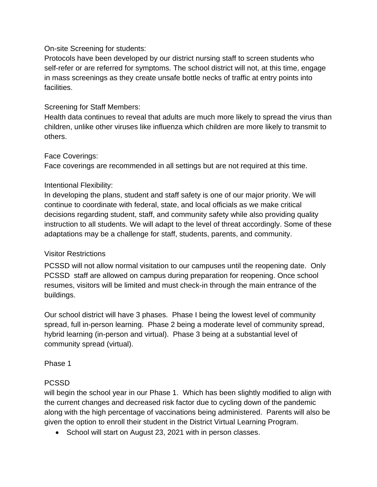#### On-site Screening for students:

Protocols have been developed by our district nursing staff to screen students who self-refer or are referred for symptoms. The school district will not, at this time, engage in mass screenings as they create unsafe bottle necks of traffic at entry points into facilities.

#### Screening for Staff Members:

Health data continues to reveal that adults are much more likely to spread the virus than children, unlike other viruses like influenza which children are more likely to transmit to others.

#### Face Coverings:

Face coverings are recommended in all settings but are not required at this time.

#### Intentional Flexibility:

In developing the plans, student and staff safety is one of our major priority. We will continue to coordinate with federal, state, and local officials as we make critical decisions regarding student, staff, and community safety while also providing quality instruction to all students. We will adapt to the level of threat accordingly. Some of these adaptations may be a challenge for staff, students, parents, and community.

#### Visitor Restrictions

PCSSD will not allow normal visitation to our campuses until the reopening date. Only PCSSD staff are allowed on campus during preparation for reopening. Once school resumes, visitors will be limited and must check-in through the main entrance of the buildings.

Our school district will have 3 phases. Phase I being the lowest level of community spread, full in-person learning. Phase 2 being a moderate level of community spread, hybrid learning (in-person and virtual). Phase 3 being at a substantial level of community spread (virtual).

#### Phase 1

#### PCSSD

will begin the school year in our Phase 1. Which has been slightly modified to align with the current changes and decreased risk factor due to cycling down of the pandemic along with the high percentage of vaccinations being administered. Parents will also be given the option to enroll their student in the District Virtual Learning Program.

• School will start on August 23, 2021 with in person classes.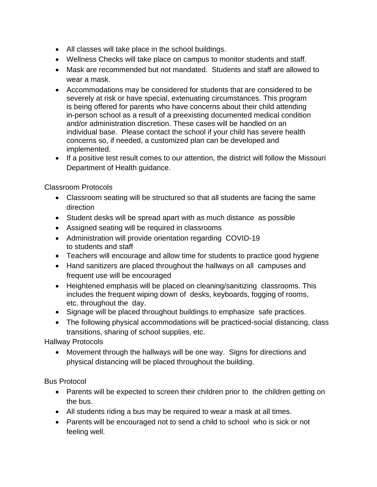- All classes will take place in the school buildings.
- Wellness Checks will take place on campus to monitor students and staff.
- Mask are recommended but not mandated. Students and staff are allowed to wear a mask.
- Accommodations may be considered for students that are considered to be severely at risk or have special, extenuating circumstances. This program is being offered for parents who have concerns about their child attending in-person school as a result of a preexisting documented medical condition and/or administration discretion. These cases will be handled on an individual base. Please contact the school if your child has severe health concerns so, if needed, a customized plan can be developed and implemented.
- If a positive test result comes to our attention, the district will follow the Missouri Department of Health guidance.

Classroom Protocols

- Classroom seating will be structured so that all students are facing the same direction
- Student desks will be spread apart with as much distance as possible
- Assigned seating will be required in classrooms
- Administration will provide orientation regarding COVID-19 to students and staff
- Teachers will encourage and allow time for students to practice good hygiene
- Hand sanitizers are placed throughout the hallways on all campuses and frequent use will be encouraged
- Heightened emphasis will be placed on cleaning/sanitizing classrooms. This includes the frequent wiping down of desks, keyboards, fogging of rooms, etc. throughout the day.
- Signage will be placed throughout buildings to emphasize safe practices.
- The following physical accommodations will be practiced-social distancing, class transitions, sharing of school supplies, etc.

Hallway Protocols

• Movement through the hallways will be one way. Signs for directions and physical distancing will be placed throughout the building.

Bus Protocol

- Parents will be expected to screen their children prior to the children getting on the bus.
- All students riding a bus may be required to wear a mask at all times.
- Parents will be encouraged not to send a child to school who is sick or not feeling well.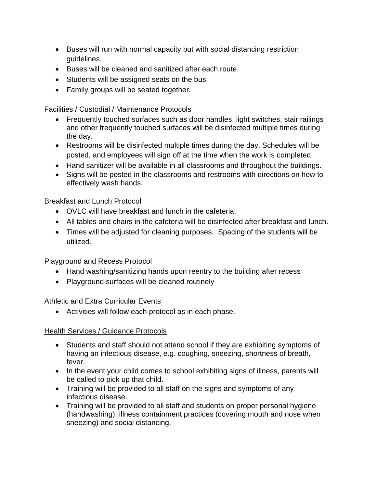- Buses will run with normal capacity but with social distancing restriction guidelines.
- Buses will be cleaned and sanitized after each route.
- Students will be assigned seats on the bus.
- Family groups will be seated together.

Facilities / Custodial / Maintenance Protocols

- Frequently touched surfaces such as door handles, light switches, stair railings and other frequently touched surfaces will be disinfected multiple times during the day.
- Restrooms will be disinfected multiple times during the day. Schedules will be posted, and employees will sign off at the time when the work is completed.
- Hand sanitizer will be available in all classrooms and throughout the buildings.
- Signs will be posted in the classrooms and restrooms with directions on how to effectively wash hands.

Breakfast and Lunch Protocol

- OVLC will have breakfast and lunch in the cafeteria.
- All tables and chairs in the cafeteria will be disinfected after breakfast and lunch.
- Times will be adjusted for cleaning purposes. Spacing of the students will be utilized.

Playground and Recess Protocol

- Hand washing/sanitizing hands upon reentry to the building after recess
- Playground surfaces will be cleaned routinely

Athletic and Extra Curricular Events

• Activities will follow each protocol as in each phase.

#### **Health Services / Guidance Protocols**

- Students and staff should not attend school if they are exhibiting symptoms of having an infectious disease, e.g. coughing, sneezing, shortness of breath, fever.
- In the event your child comes to school exhibiting signs of illness, parents will be called to pick up that child.
- Training will be provided to all staff on the signs and symptoms of any infectious disease.
- Training will be provided to all staff and students on proper personal hygiene (handwashing), illness containment practices (covering mouth and nose when sneezing) and social distancing.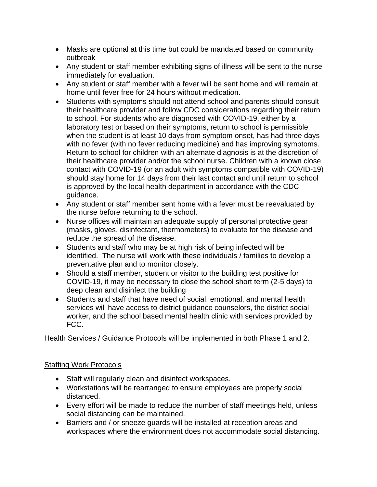- Masks are optional at this time but could be mandated based on community outbreak
- Any student or staff member exhibiting signs of illness will be sent to the nurse immediately for evaluation.
- Any student or staff member with a fever will be sent home and will remain at home until fever free for 24 hours without medication.
- Students with symptoms should not attend school and parents should consult their healthcare provider and follow CDC considerations regarding their return to school. For students who are diagnosed with COVID-19, either by a laboratory test or based on their symptoms, return to school is permissible when the student is at least 10 days from symptom onset, has had three days with no fever (with no fever reducing medicine) and has improving symptoms. Return to school for children with an alternate diagnosis is at the discretion of their healthcare provider and/or the school nurse. Children with a known close contact with COVID-19 (or an adult with symptoms compatible with COVID-19) should stay home for 14 days from their last contact and until return to school is approved by the local health department in accordance with the CDC guidance.
- Any student or staff member sent home with a fever must be reevaluated by the nurse before returning to the school.
- Nurse offices will maintain an adequate supply of personal protective gear (masks, gloves, disinfectant, thermometers) to evaluate for the disease and reduce the spread of the disease.
- Students and staff who may be at high risk of being infected will be identified. The nurse will work with these individuals / families to develop a preventative plan and to monitor closely.
- Should a staff member, student or visitor to the building test positive for COVID-19, it may be necessary to close the school short term (2-5 days) to deep clean and disinfect the building
- Students and staff that have need of social, emotional, and mental health services will have access to district guidance counselors, the district social worker, and the school based mental health clinic with services provided by FCC.

Health Services / Guidance Protocols will be implemented in both Phase 1 and 2.

#### Staffing Work Protocols

- Staff will regularly clean and disinfect workspaces.
- Workstations will be rearranged to ensure employees are properly social distanced.
- Every effort will be made to reduce the number of staff meetings held, unless social distancing can be maintained.
- Barriers and / or sneeze guards will be installed at reception areas and workspaces where the environment does not accommodate social distancing.